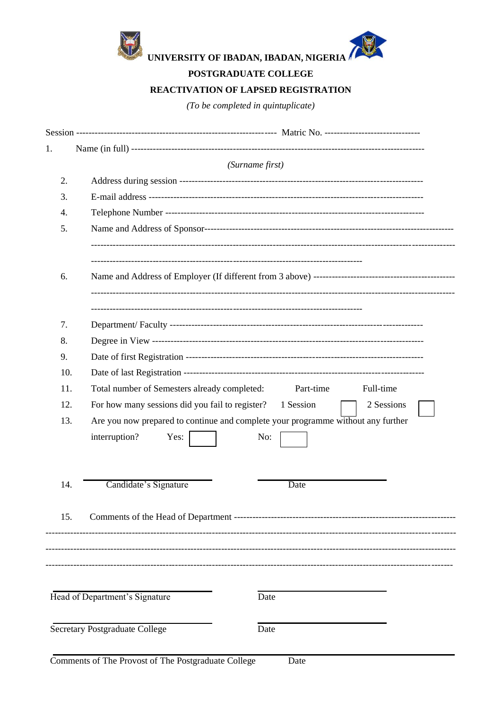

POSTGRADUATE COLLEGE

## **REACTIVATION OF LAPSED REGISTRATION**

 $(To be completed in quintuplicate)$ 

| 1.  |                                                                                  |
|-----|----------------------------------------------------------------------------------|
|     | (Surname first)                                                                  |
| 2.  |                                                                                  |
| 3.  |                                                                                  |
| 4.  |                                                                                  |
| 5.  |                                                                                  |
|     |                                                                                  |
|     |                                                                                  |
| 6.  |                                                                                  |
|     |                                                                                  |
| 7.  |                                                                                  |
| 8.  |                                                                                  |
| 9.  |                                                                                  |
| 10. |                                                                                  |
| 11. | Total number of Semesters already completed:<br>Full-time<br>Part-time           |
| 12. | For how many sessions did you fail to register?<br>2 Sessions<br>1 Session       |
| 13. | Are you now prepared to continue and complete your programme without any further |
|     | interruption?<br>Yes:<br>No:                                                     |
|     |                                                                                  |
|     |                                                                                  |
| 14. | Candidate's Signature<br>Date                                                    |
|     |                                                                                  |
| 15. |                                                                                  |
|     |                                                                                  |
|     |                                                                                  |
|     |                                                                                  |
|     | Head of Department's Signature<br>Date                                           |
|     |                                                                                  |
|     | <b>Secretary Postgraduate College</b><br>Date                                    |
|     |                                                                                  |

Date